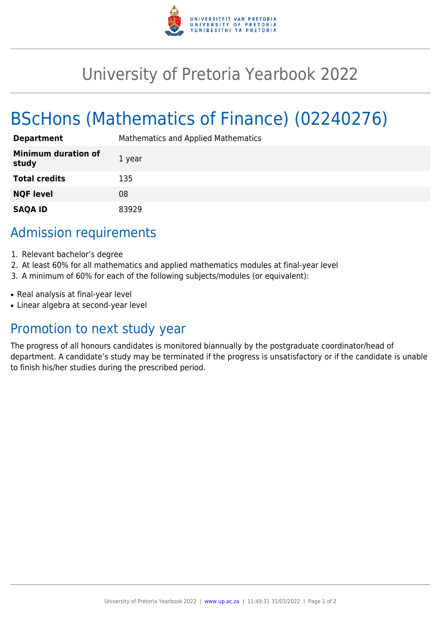

## University of Pretoria Yearbook 2022

# BScHons (Mathematics of Finance) (02240276)

| <b>Department</b>                   | <b>Mathematics and Applied Mathematics</b> |
|-------------------------------------|--------------------------------------------|
| <b>Minimum duration of</b><br>study | 1 year                                     |
| <b>Total credits</b>                | 135                                        |
| <b>NQF level</b>                    | 08                                         |
| <b>SAQA ID</b>                      | 83929                                      |

### Admission requirements

- 1. Relevant bachelor's degree
- 2. At least 60% for all mathematics and applied mathematics modules at final-year level
- 3. A minimum of 60% for each of the following subjects/modules (or equivalent):
- Real analysis at final-year level
- Linear algebra at second-year level

### Promotion to next study year

The progress of all honours candidates is monitored biannually by the postgraduate coordinator/head of department. A candidate's study may be terminated if the progress is unsatisfactory or if the candidate is unable to finish his/her studies during the prescribed period.